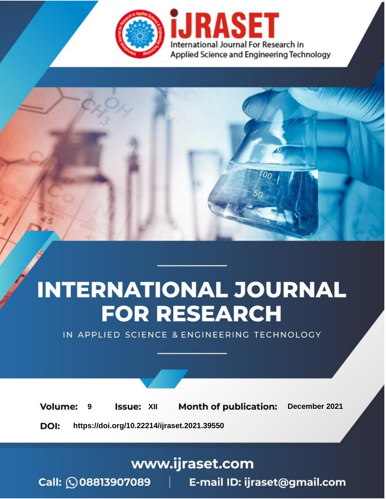

# **INTERNATIONAL JOURNAL FOR RESEARCH**

IN APPLIED SCIENCE & ENGINEERING TECHNOLOGY

**Month of publication: Volume: Issue: XII** December 2021 9 DOI: https://doi.org/10.22214/ijraset.2021.39550

www.ijraset.com

Call: 008813907089 | E-mail ID: ijraset@gmail.com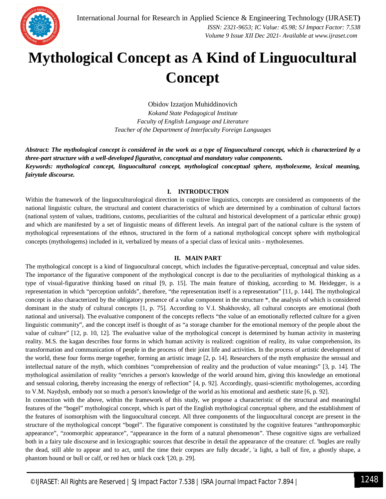

### **Mythological Concept as A Kind of Linguocultural Concept**

Obidov Izzatjon Muhiddinovich *Kokand State Pedagogical Institute Faculty of English Language and Literature Teacher of the Department of Interfaculty Foreign Languages*

*Abstract: The mythological concept is considered in the work as a type of linguocultural concept, which is characterized by a three-part structure with a well-developed figurative, conceptual and mandatory value components. Keywords: mythological concept, linguocultural concept, mythological conceptual sphere, mytholexeme, lexical meaning, fairytale discourse.*

#### **I. INTRODUCTION**

Within the framework of the linguoculturological direction in cognitive linguistics, concepts are considered as components of the national linguistic culture, the structural and content characteristics of which are determined by a combination of cultural factors (national system of values, traditions, customs, peculiarities of the cultural and historical development of a particular ethnic group) and which are manifested by a set of linguistic means of different levels. An integral part of the national culture is the system of mythological representations of the ethnos, structured in the form of a national mythological concept sphere with mythological concepts (mythologems) included in it, verbalized by means of a special class of lexical units - mytholexemes.

#### **II. MAIN PART**

The mythological concept is a kind of linguocultural concept, which includes the figurative-perceptual, conceptual and value sides. The importance of the figurative component of the mythological concept is due to the peculiarities of mythological thinking as a type of visual-figurative thinking based on ritual [9, p. 15]. The main feature of thinking, according to M. Heidegger, is a representation in which "perception unfolds", therefore, "the representation itself is a representation" [11, p. 144]. The mythological concept is also characterized by the obligatory presence of a value component in the structure \*, the analysis of which is considered dominant in the study of cultural concepts [1, p. 75]. According to V.I. Shakhovsky, all cultural concepts are emotional (both national and universal). The evaluative component of the concepts reflects "the value of an emotionally reflected culture for a given linguistic community", and the concept itself is thought of as "a storage chamber for the emotional memory of the people about the value of culture" [12, p. 10, 12]. The evaluative value of the mythological concept is determined by human activity in mastering reality. M.S. the kagan describes four forms in which human activity is realized: cognition of reality, its value comprehension, its transformation and communication of people in the process of their joint life and activities. In the process of artistic development of the world, these four forms merge together, forming an artistic image [2, p. 14]. Researchers of the myth emphasize the sensual and intellectual nature of the myth, which combines "comprehension of reality and the production of value meanings" [3, p. 14]. The mythological assimilation of reality "enriches a person's knowledge of the world around him, giving this knowledge an emotional and sensual coloring, thereby increasing the energy of reflection" [4, p. 92]. Accordingly, quasi-scientific mythologemes, according to V.M. Naydysh, embody not so much a person's knowledge of the world as his emotional and aesthetic state [6, p. 92].

In connection with the above, within the framework of this study, we propose a characteristic of the structural and meaningful features of the "bogel" mythological concept, which is part of the English mythological conceptual sphere, and the establishment of the features of isomorphism with the linguocultural concept. All three components of the linguocultural concept are present in the structure of the mythological concept "bogel". The figurative component is constituted by the cognitive features "anthropomorphic appearance", "zoomorphic appearance", "appearance in the form of a natural phenomenon". These cognitive signs are verbalized both in a fairy tale discourse and in lexicographic sources that describe in detail the appearance of the creature: cf. 'bogles are really the dead, still able to appear and to act, until the time their corpses are fully decade', 'a light, a ball of fire, a ghostly shape, a phantom hound or bull or calf, or red hen or black cock '[20, p. 29].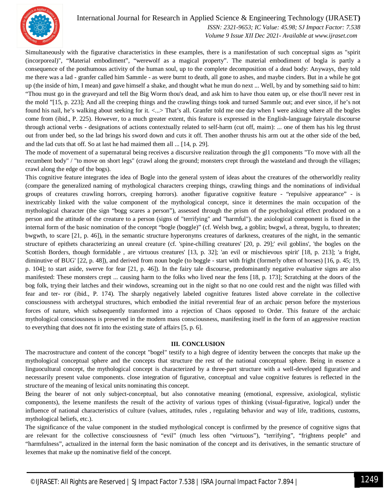

#### International Journal for Research in Applied Science & Engineering Technology (IJRASET**)**

 *ISSN: 2321-9653; IC Value: 45.98; SJ Impact Factor: 7.538*

 *Volume 9 Issue XII Dec 2021- Available at www.ijraset.com*

Simultaneously with the figurative characteristics in these examples, there is a manifestation of such conceptual signs as "spirit (incorporeal)", "Material embodiment", "werewolf as a magical property". The material embodiment of bogla is partly a consequence of the posthumous activity of the human soul, up to the complete decomposition of a dead body: Anyways, they told me there was a lad - granfer called him Sammle - as were burnt to death, all gone to ashes, and maybe cinders. But in a while he got up (the inside of him, I mean) and gave himself a shake, and thought what he mun do next ... Well, by and by something said to him: "Thou must go in the graveyard and tell the Big Worm thou's dead, and ask him to have thou eaten up, or else thou'll never rest in the mold "[15, p. 223]; And all the creeping things and the crawling things took and turned Sammle out; and ever since, if he's not found his nail, he's walking about seeking for it. <...> That's all. Granfer told me one day when I were asking where all the bogles come from (ibid., P. 225). However, to a much greater extent, this feature is expressed in the English-language fairytale discourse through actional verbs - designations of actions contextually related to self-harm (cut off, maim): ... one of them has his leg thrust out from under bed, so the lad brings his sword down and cuts it off. Then another thrusts his arm out at the other side of the bed, and the lad cuts that off. So at last he had maimed them all ... [14, p. 29].

The mode of movement of a supernatural being receives a discursive realization through the gl1 components "To move with all the recumbent body" / "to move on short legs" (crawl along the ground; monsters crept through the wasteland and through the villages; crawl along the edge of the bogs).

This cognitive feature integrates the idea of Bogle into the general system of ideas about the creatures of the otherworldly reality (compare the generalized naming of mythological characters creeping things, crawling things and the nominations of individual groups of creatures crawling horrors, creeping horrors). another figurative cognitive feature - "repulsive appearance" - is inextricably linked with the value component of the mythological concept, since it determines the main occupation of the mythological character (the sign "bogg scares a person"), assessed through the prism of the psychological effect produced on a person and the attitude of the creature to a person (signs of "terrifying" and "harmful"). the axiological component is fixed in the internal form of the basic nomination of the concept "bogle (boggle)" (cf. Welsh bwg, a goblin; bwgwl, a threat, bygylu, to threaten; bwgwth, to scare [21, p. 46]), in the semantic structure hyperonyms creatures of darkness, creatures of the night, in the semantic structure of epithets characterizing an unreal creature (cf. 'spine-chilling creatures' [20, p. 29];' evil goblins', 'the bogles on the Scottish Borders, though formidable , are virtuous creatures' [13, p. 32]; 'an evil or mischievous spirit' [18, p. 213]; 'a fright, diminutive of BUG' [22, p. 48]), and derived from noun bogle (to boggle - start with fright (formerly often of horses) [16, p. 45; 19, p. 104]; to start aside, swerve for fear [21, p. 46]). In the fairy tale discourse, predominantly negative evaluative signs are also manifested: These monsters crept ... causing harm to the folks who lived near the fens [18, p. 173]; Scratching at the doors of the bog folk, trying their latches and their windows, screaming out in the night so that no one could rest and the night was filled with fear and ter- ror (ibid., P. 174). The sharply negatively labeled cognitive features listed above correlate in the collective consciousness with archetypal structures, which embodied the initial reverential fear of an archaic person before the mysterious forces of nature, which subsequently transformed into a rejection of Chaos opposed to Order. This feature of the archaic mythological consciousness is preserved in the modern mass consciousness, manifesting itself in the form of an aggressive reaction to everything that does not fit into the existing state of affairs [5, p. 6].

#### **III. CONCLUSION**

The macrostructure and content of the concept "bogel" testify to a high degree of identity between the concepts that make up the mythological conceptual sphere and the concepts that structure the rest of the national conceptual sphere. Being in essence a linguocultural concept, the mythological concept is characterized by a three-part structure with a well-developed figurative and necessarily present value components. close integration of figurative, conceptual and value cognitive features is reflected in the structure of the meaning of lexical units nominating this concept.

Being the bearer of not only subject-conceptual, but also connotative meaning (emotional, expressive, axiological, stylistic components), the lexeme manifests the result of the activity of various types of thinking (visual-figurative, logical) under the influence of national characteristics of culture (values, attitudes, rules , regulating behavior and way of life, traditions, customs, mythological beliefs, etc.).

The significance of the value component in the studied mythological concept is confirmed by the presence of cognitive signs that are relevant for the collective consciousness of "evil" (much less often "virtuous"), "terrifying", "frightens people" and "harmfulness", actualized in the internal form the basic nomination of the concept and its derivatives, in the semantic structure of lexemes that make up the nominative field of the concept.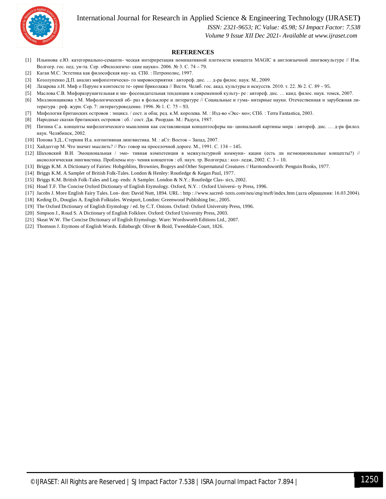International Journal for Research in Applied Science & Engineering Technology (IJRASET**)**



#### *ISSN: 2321-9653; IC Value: 45.98; SJ Impact Factor: 7.538*

 *Volume 9 Issue XII Dec 2021- Available at www.ijraset.com*

#### **REFERENCES**

- [1] Ильинова е.Ю. категориально-семанти- ческая интерпретация номинативной плотности концепта MAGIC в англоязычной лингвокультуре // Изв. Волгогр. гос. пед. ун-та. Сер. «Филологиче- ские науки». 2006. № 3. С. 74 – 79.
- [2] Каган М.С. Эстетика как философская нау- ка. СПб. : Петрополис, 1997.
- [3] Козолупенко Д.П. анализ мифопоэтическо- го мировосприятия : автореф. дис. … д-ра филос. наук. М., 2009.
- [4] Лазарева л.Н. Миф о Перуне в контексте те- ории бриколажа // Вестн. Челяб. гос. акад. культуры и искусств. 2010. т. 22. № 2. С. 89 95.
- [5] Маслова С.В. Мифоразрушительная и ми- фосозидательная тенденции в современной культу- ре : автореф. дис. … канд. филос. наук. томск, 2007.
- [6] Миллионщикова т.М. Мифологический об- раз в фольклоре и литературе // Социальные и гума- нитарные науки. Отечественная и зарубежная литература : реф. журн. Сер. 7: литературоведение. 1996. № 1. С. 75 – 93.
- [7] Мифология британских островов : энцикл. / сост. и общ. ред. к.М. королева. М. : Изд-во «Экс- мо»; СПб. : Terra Fantastica, 2003.
- [8] Народные сказки британских островов : сб. / сост. Дж. Риордан. М.: Радуга, 1987.
- [9] Питина С.а. концепты мифологического мышления как составляющая концептосферы на- циональной картины мира : автореф. дис. … д-ра филол. наук. Челябинск, 2002.
- [10] Попова З.Д., Стернин И.а. когнитивная лингвистика. М. : аСт: Восток Запад, 2007.
- [11] Хайдеггер М. Что значит мыслить? // Раз- говор на проселочной дороге. М., 1991. С. 134 145.
- [12] Шаховский В.И. Эмоциональная / эмо- тивная компетенция в межкультурной коммуни- кации (есть ли неэмоциональные концепты?) // аксиологическая лингвистика. Проблемы изу- чения концептов : сб. науч. тр. Волгоград : кол- ледж, 2002. С. 3 – 10.
- [13] Briggs K.M. A Dictionary of Fairies: Hobgoblins, Brownies, Bogeys and Other Supernatural Creatures // Harmondsworth: Penguin Books, 1977.
- [14] Briggs K.M. A Sampler of British Folk-Tales. London & Henley: Routledge & Kegan Paul, 1977.
- [15] Briggs K.M. British Folk-Tales and Leg- ends: A Sampler. London & N.Y.: Routledge Clas- sics, 2002.
- [16] Hoad T.F. The Concise Oxford Dictionary of English Etymology. Oxford, N.Y. : Oxford Universi- ty Press, 1996.
- [17] Jacobs J. More English Fairy Tales. Lon- don: David Nutt, 1894. URL : http : //www.sacred- texts.com/neu/eng/meft/index.htm (дата обращения: 16.03.2004).
- [18] Keding D., Douglas A. English Folktales. Westport, London: Greenwood Publishing Inc., 2005.
- [19] The Oxford Dictionary of English Etymology / ed. by C.T. Onions. Oxford: Oxford University Press, 1996.
- [20] Simpson J., Roud S. A Dictionary of English Folklore. Oxford: Oxford University Press, 2003.
- [21] Skeat W.W. The Concise Dictionary of English Etymology. Ware: Wordsworth Editions Ltd., 2007.
- [22] Thomson J. Etymons of English Words. Edinburgh: Oliver & Boid, Tweeddale-Court, 1826.